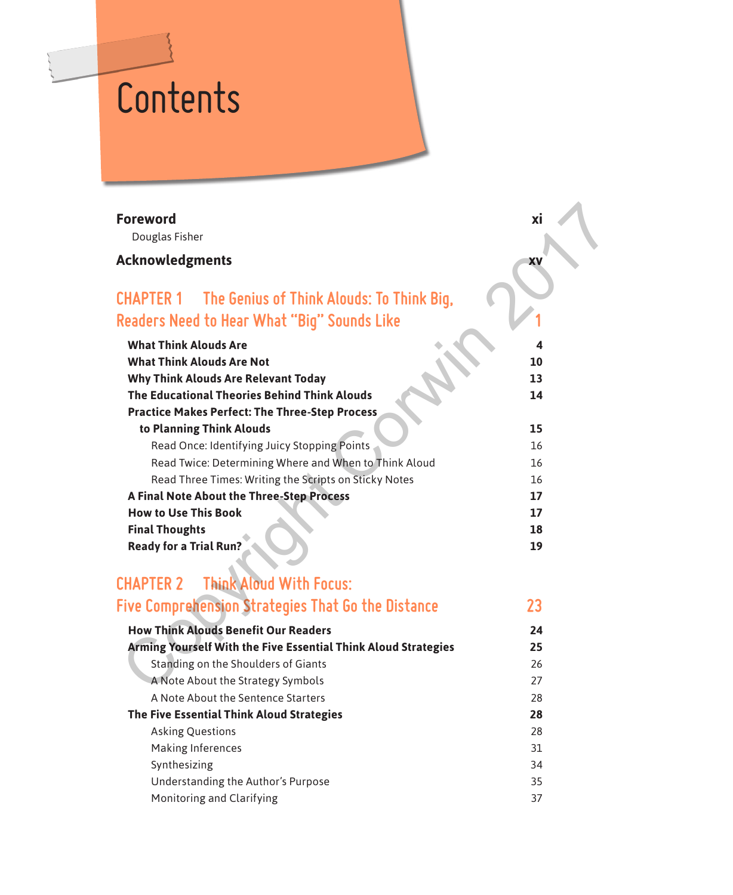# **Contents**

### **Foreword xi**

### **Acknowledgments xv**

## **CHAPTER 1 The Genius of Think Alouds: To Think Big, Readers Need to Hear What "Big" Sounds Like 1**

| Foreword                                                       | xi |
|----------------------------------------------------------------|----|
| Douglas Fisher                                                 |    |
| <b>Acknowledgments</b>                                         | XV |
| CHAPTER 1 The Genius of Think Alouds: To Think Big,            |    |
| Readers Need to Hear What "Biq" Sounds Like                    |    |
| <b>What Think Alouds Are</b>                                   | 4  |
| <b>What Think Alouds Are Not</b>                               | 10 |
| <b>Why Think Alouds Are Relevant Today</b>                     | 13 |
| The Educational Theories Behind Think Alouds                   | 14 |
| <b>Practice Makes Perfect: The Three-Step Process</b>          |    |
| to Planning Think Alouds                                       | 15 |
| Read Once: Identifying Juicy Stopping Points                   | 16 |
| Read Twice: Determining Where and When to Think Aloud          | 16 |
| Read Three Times: Writing the Scripts on Sticky Notes          | 16 |
| A Final Note About the Three-Step Process                      | 17 |
| <b>How to Use This Book</b>                                    | 17 |
| <b>Final Thoughts</b>                                          | 18 |
| <b>Ready for a Trial Run?</b>                                  | 19 |
| <b>Think Aloud With Focus:</b><br><b>CHAPTER 2</b>             |    |
| <b>Five Comprehension Strategies That Go the Distance</b>      | 23 |
| <b>How Think Alouds Benefit Our Readers</b>                    | 24 |
| Arming Yourself With the Five Essential Think Aloud Strategies | 25 |
| Standing on the Shoulders of Giants                            | 26 |
| A Note About the Strategy Symbols                              | 27 |
|                                                                |    |

# **CHAPTER 2 Think Aloud With Focus:**

|  |  |  | Five Comprehension Strategies That Go the Distance |  |
|--|--|--|----------------------------------------------------|--|
|--|--|--|----------------------------------------------------|--|

| <b>How Think Alouds Benefit Our Readers</b>                           |    |
|-----------------------------------------------------------------------|----|
| <b>Arming Yourself With the Five Essential Think Aloud Strategies</b> | 25 |
| Standing on the Shoulders of Giants                                   | 26 |
| A Note About the Strategy Symbols                                     | 27 |
| A Note About the Sentence Starters                                    | 28 |
| The Five Essential Think Aloud Strategies                             | 28 |
| <b>Asking Questions</b>                                               | 28 |
| Making Inferences                                                     | 31 |
| Synthesizing                                                          | 34 |
| Understanding the Author's Purpose                                    | 35 |
| Monitoring and Clarifying                                             | 37 |
|                                                                       |    |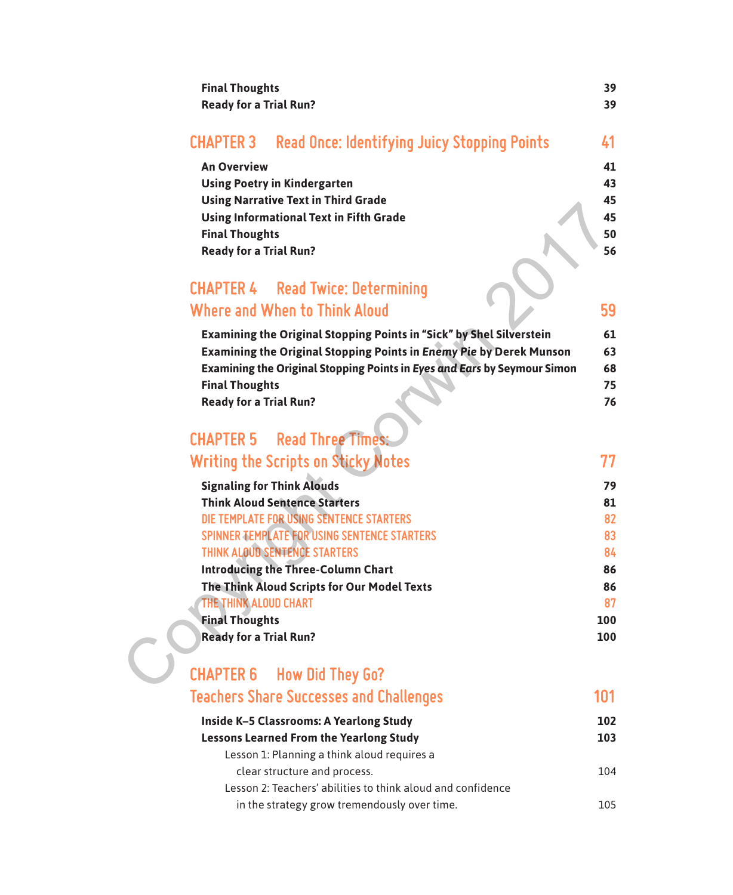| <b>Final Thoughts</b><br><b>Ready for a Trial Run?</b> |                                                               | 39<br>39 |
|--------------------------------------------------------|---------------------------------------------------------------|----------|
|                                                        | <b>CHAPTER 3</b> Read Once: Identifying Juicy Stopping Points | 41       |
| <b>An Overview</b>                                     |                                                               | 41       |
|                                                        | <b>Using Poetry in Kindergarten</b>                           | 43       |
|                                                        | <b>Using Narrative Text in Third Grade</b>                    | 45       |
|                                                        | <b>Using Informational Text in Fifth Grade</b>                | 45       |
| <b>Final Thoughts</b>                                  |                                                               | 50       |
| <b>Ready for a Trial Run?</b>                          |                                                               | 56       |
|                                                        |                                                               |          |

### **CHAPTER 4 Read Twice: Determining Where and When to Think Aloud 59**

| Examining the Original Stopping Points in "Sick" by Shel Silverstein       | 61 |
|----------------------------------------------------------------------------|----|
| <b>Examining the Original Stopping Points in Enemy Pie by Derek Munson</b> | 63 |
| Examining the Original Stopping Points in Eyes and Ears by Seymour Simon   | 68 |
| <b>Final Thoughts</b>                                                      | 75 |
| <b>Ready for a Trial Run?</b>                                              | 76 |

# **CHAPTER 5 Read Three Times: Writing the Scripts on Sticky Notes 77**

| <b>USING IVALUATIVE TEAT IN THILD UTAGE</b>                               | ┱┙  |
|---------------------------------------------------------------------------|-----|
| <b>Using Informational Text in Fifth Grade</b>                            | 45  |
| <b>Final Thoughts</b>                                                     | 50  |
| <b>Ready for a Trial Run?</b>                                             | 56  |
| <b>CHAPTER 4 Read Twice: Determining</b><br>Where and When to Think Aloud | 59  |
| Examining the Original Stopping Points in "Sick" by Shel Silverstein      | 61  |
| Examining the Original Stopping Points in Enemy Pie by Derek Munson       | 63  |
| Examining the Original Stopping Points in Eyes and Ears by Seymour Simon  | 68  |
| <b>Final Thoughts</b>                                                     | 75  |
| <b>Ready for a Trial Run?</b>                                             | 76  |
| <b>CHAPTER 5 Read Three Times:</b>                                        |     |
| <b>Writing the Scripts on Sticky Notes</b>                                | 77  |
| <b>Signaling for Think Alouds</b>                                         | 79  |
| <b>Think Aloud Sentence Starters</b>                                      | 81  |
| DIE TEMPLATE FOR USING SENTENCE STARTERS                                  | 82  |
| SPINNER TEMPLATE FOR USING SENTENCE STARTERS                              | 83  |
| THINK ALOUD SENTENCE STARTERS                                             | 84  |
| <b>Introducing the Three-Column Chart</b>                                 | 86  |
| The Think Aloud Scripts for Our Model Texts                               | 86  |
| THE THINK ALOUD CHART                                                     | 87  |
| <b>Final Thoughts</b>                                                     | 100 |
| <b>Ready for a Trial Run?</b>                                             | 100 |
| <b>CHAPTER 6 How Did They Go?</b>                                         |     |
|                                                                           |     |

| <b>CHAPTER 6 How Did They Go?</b>                           |     |
|-------------------------------------------------------------|-----|
| <b>Teachers Share Successes and Challenges</b>              | 101 |
| Inside K-5 Classrooms: A Yearlong Study                     | 102 |
| <b>Lessons Learned From the Yearlong Study</b>              | 103 |
| Lesson 1: Planning a think aloud requires a                 |     |
| clear structure and process.                                | 104 |
| Lesson 2: Teachers' abilities to think aloud and confidence |     |
| in the strategy grow tremendously over time.                | 105 |